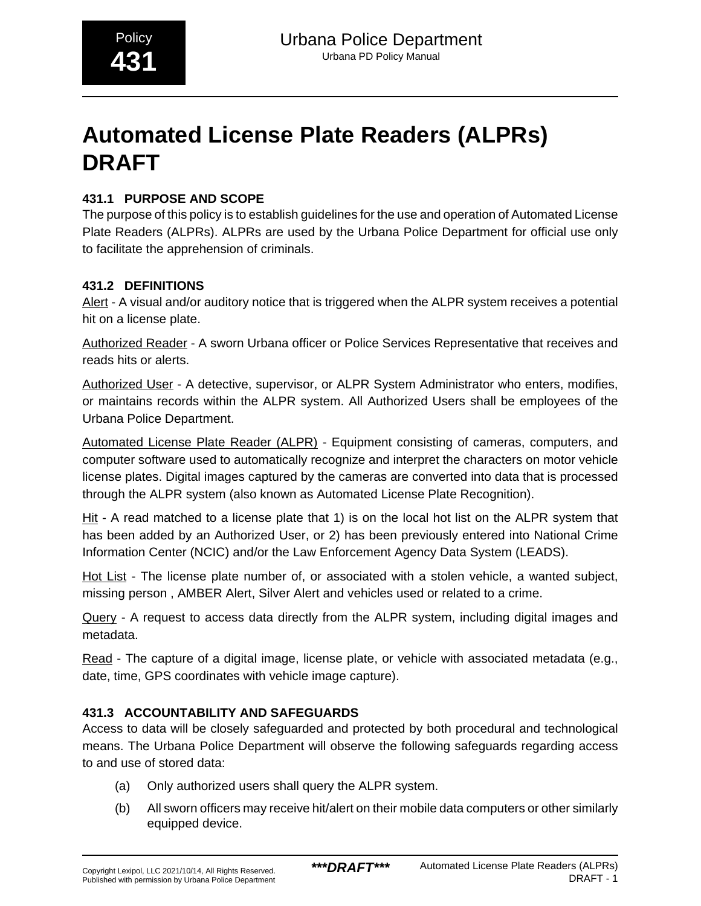# **Automated License Plate Readers (ALPRs) DRAFT**

## **431.1 PURPOSE AND SCOPE**

The purpose of this policy is to establish guidelines for the use and operation of Automated License Plate Readers (ALPRs). ALPRs are used by the Urbana Police Department for official use only to facilitate the apprehension of criminals.

#### **431.2 DEFINITIONS**

Alert - A visual and/or auditory notice that is triggered when the ALPR system receives a potential hit on a license plate.

Authorized Reader - A sworn Urbana officer or Police Services Representative that receives and reads hits or alerts.

Authorized User - A detective, supervisor, or ALPR System Administrator who enters, modifies, or maintains records within the ALPR system. All Authorized Users shall be employees of the Urbana Police Department.

Automated License Plate Reader (ALPR) - Equipment consisting of cameras, computers, and computer software used to automatically recognize and interpret the characters on motor vehicle license plates. Digital images captured by the cameras are converted into data that is processed through the ALPR system (also known as Automated License Plate Recognition).

Hit - A read matched to a license plate that 1) is on the local hot list on the ALPR system that has been added by an Authorized User, or 2) has been previously entered into National Crime Information Center (NCIC) and/or the Law Enforcement Agency Data System (LEADS).

Hot List - The license plate number of, or associated with a stolen vehicle, a wanted subject, missing person , AMBER Alert, Silver Alert and vehicles used or related to a crime.

Query - A request to access data directly from the ALPR system, including digital images and metadata.

Read - The capture of a digital image, license plate, or vehicle with associated metadata (e.g., date, time, GPS coordinates with vehicle image capture).

## **431.3 ACCOUNTABILITY AND SAFEGUARDS**

Access to data will be closely safeguarded and protected by both procedural and technological means. The Urbana Police Department will observe the following safeguards regarding access to and use of stored data:

- (a) Only authorized users shall query the ALPR system.
- (b) All sworn officers may receive hit/alert on their mobile data computers or other similarly equipped device.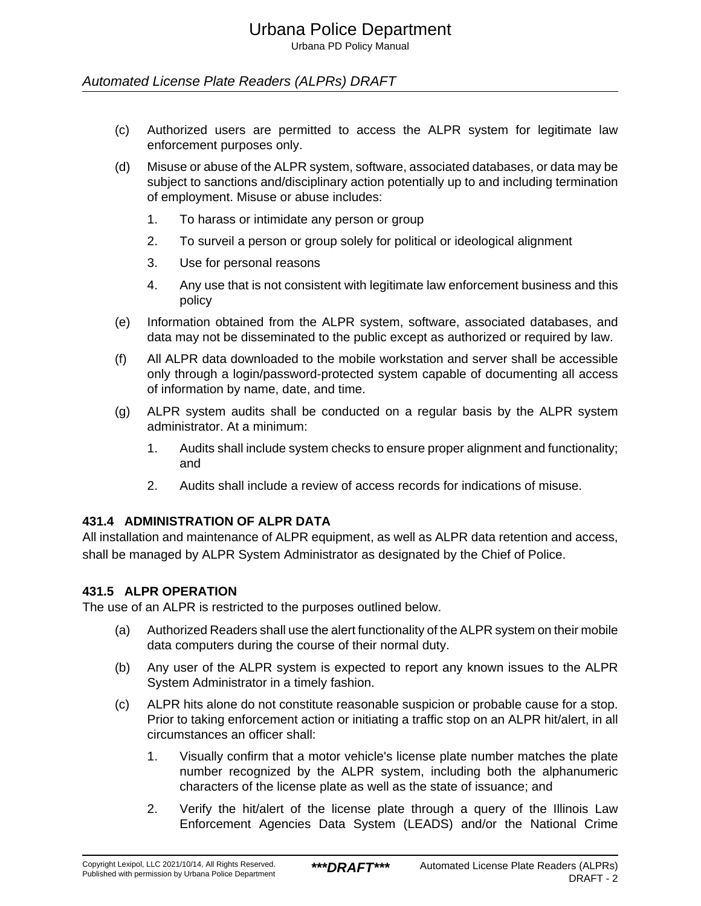Urbana PD Policy Manual

#### Automated License Plate Readers (ALPRs) DRAFT

- (c) Authorized users are permitted to access the ALPR system for legitimate law enforcement purposes only.
- (d) Misuse or abuse of the ALPR system, software, associated databases, or data may be subject to sanctions and/disciplinary action potentially up to and including termination of employment. Misuse or abuse includes:
	- 1. To harass or intimidate any person or group
	- 2. To surveil a person or group solely for political or ideological alignment
	- 3. Use for personal reasons
	- 4. Any use that is not consistent with legitimate law enforcement business and this policy
- (e) Information obtained from the ALPR system, software, associated databases, and data may not be disseminated to the public except as authorized or required by law.
- (f) All ALPR data downloaded to the mobile workstation and server shall be accessible only through a login/password-protected system capable of documenting all access of information by name, date, and time.
- (g) ALPR system audits shall be conducted on a regular basis by the ALPR system administrator. At a minimum:
	- 1. Audits shall include system checks to ensure proper alignment and functionality; and
	- 2. Audits shall include a review of access records for indications of misuse.

#### **431.4 ADMINISTRATION OF ALPR DATA**

All installation and maintenance of ALPR equipment, as well as ALPR data retention and access, shall be managed by ALPR System Administrator as designated by the Chief of Police.

#### **431.5 ALPR OPERATION**

The use of an ALPR is restricted to the purposes outlined below.

- (a) Authorized Readers shall use the alert functionality of the ALPR system on their mobile data computers during the course of their normal duty.
- (b) Any user of the ALPR system is expected to report any known issues to the ALPR System Administrator in a timely fashion.
- (c) ALPR hits alone do not constitute reasonable suspicion or probable cause for a stop. Prior to taking enforcement action or initiating a traffic stop on an ALPR hit/alert, in all circumstances an officer shall:
	- 1. Visually confirm that a motor vehicle's license plate number matches the plate number recognized by the ALPR system, including both the alphanumeric characters of the license plate as well as the state of issuance; and
	- 2. Verify the hit/alert of the license plate through a query of the Illinois Law Enforcement Agencies Data System (LEADS) and/or the National Crime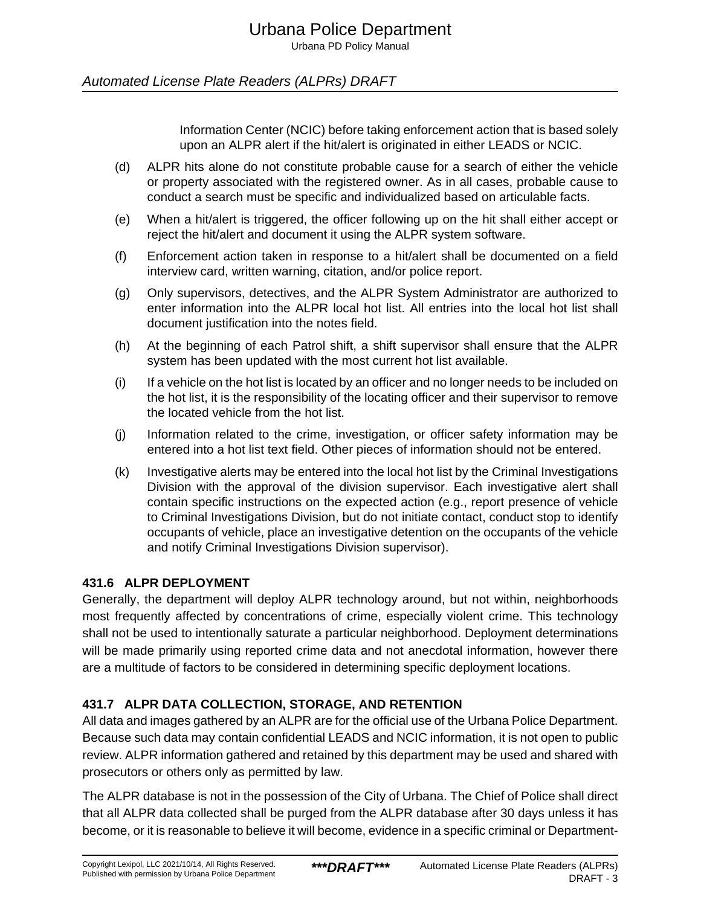Urbana PD Policy Manual

#### Automated License Plate Readers (ALPRs) DRAFT

Information Center (NCIC) before taking enforcement action that is based solely upon an ALPR alert if the hit/alert is originated in either LEADS or NCIC.

- (d) ALPR hits alone do not constitute probable cause for a search of either the vehicle or property associated with the registered owner. As in all cases, probable cause to conduct a search must be specific and individualized based on articulable facts.
- (e) When a hit/alert is triggered, the officer following up on the hit shall either accept or reject the hit/alert and document it using the ALPR system software.
- (f) Enforcement action taken in response to a hit/alert shall be documented on a field interview card, written warning, citation, and/or police report.
- (g) Only supervisors, detectives, and the ALPR System Administrator are authorized to enter information into the ALPR local hot list. All entries into the local hot list shall document justification into the notes field.
- (h) At the beginning of each Patrol shift, a shift supervisor shall ensure that the ALPR system has been updated with the most current hot list available.
- (i) If a vehicle on the hot list is located by an officer and no longer needs to be included on the hot list, it is the responsibility of the locating officer and their supervisor to remove the located vehicle from the hot list.
- (j) Information related to the crime, investigation, or officer safety information may be entered into a hot list text field. Other pieces of information should not be entered.
- (k) Investigative alerts may be entered into the local hot list by the Criminal Investigations Division with the approval of the division supervisor. Each investigative alert shall contain specific instructions on the expected action (e.g., report presence of vehicle to Criminal Investigations Division, but do not initiate contact, conduct stop to identify occupants of vehicle, place an investigative detention on the occupants of the vehicle and notify Criminal Investigations Division supervisor).

#### **431.6 ALPR DEPLOYMENT**

Generally, the department will deploy ALPR technology around, but not within, neighborhoods most frequently affected by concentrations of crime, especially violent crime. This technology shall not be used to intentionally saturate a particular neighborhood. Deployment determinations will be made primarily using reported crime data and not anecdotal information, however there are a multitude of factors to be considered in determining specific deployment locations.

#### **431.7 ALPR DATA COLLECTION, STORAGE, AND RETENTION**

All data and images gathered by an ALPR are for the official use of the Urbana Police Department. Because such data may contain confidential LEADS and NCIC information, it is not open to public review. ALPR information gathered and retained by this department may be used and shared with prosecutors or others only as permitted by law.

The ALPR database is not in the possession of the City of Urbana. The Chief of Police shall direct that all ALPR data collected shall be purged from the ALPR database after 30 days unless it has become, or it is reasonable to believe it will become, evidence in a specific criminal or Department-